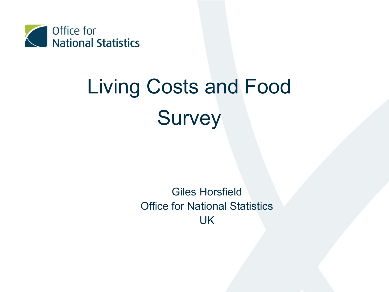

# Living Costs and Food **Survey**

Giles Horsfield Office for National Statistics UK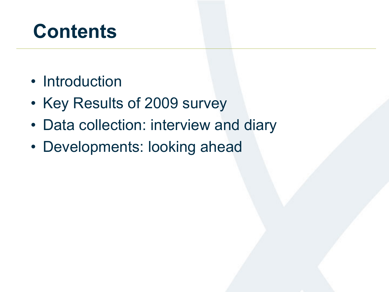# **Contents**

- Introduction
- Key Results of 2009 survey
- Data collection: interview and diary
- Developments: looking ahead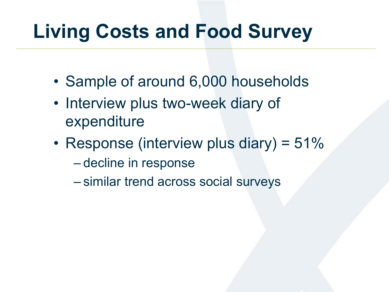# **Living Costs and Food Survey**

- Sample of around 6,000 households
- Interview plus two-week diary of expenditure
- Response (interview plus diary) =  $51\%$ 
	- decline in response
	- similar trend across social surveys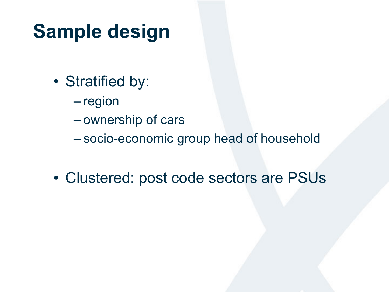# **Sample design**

- Stratified by:
	- region
	- ownership of cars
	- socio-economic group head of household
- Clustered: post code sectors are PSUs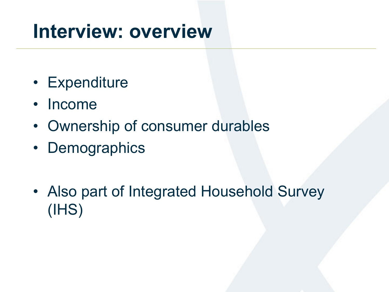### **Interview: overview**

- Expenditure
- Income
- Ownership of consumer durables
- Demographics
- Also part of Integrated Household Survey (IHS)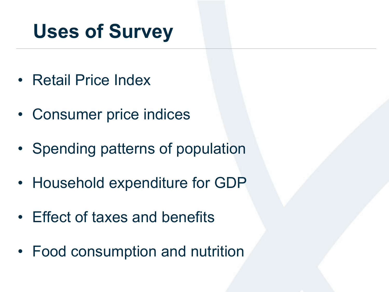## **Uses of Survey**

- Retail Price Index
- Consumer price indices
- Spending patterns of population
- Household expenditure for GDP
- Effect of taxes and benefits
- Food consumption and nutrition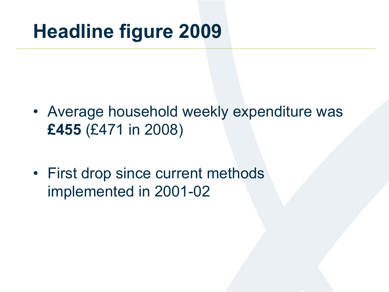# **Headline figure 2009**

- Average household weekly expenditure was **£455** (£471 in 2008)
- First drop since current methods implemented in 2001-02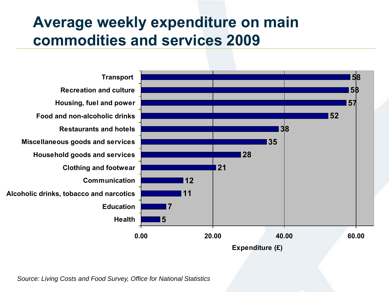#### **Average weekly expenditure on main commodities and services 2009**



*Source: Living Costs and Food Survey, Office for National Statistics*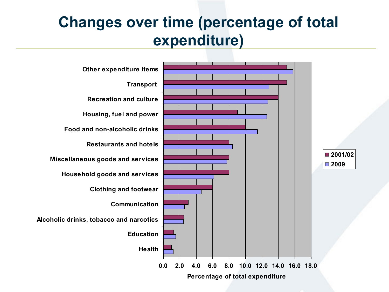#### **Changes over time (percentage of total expenditure)**

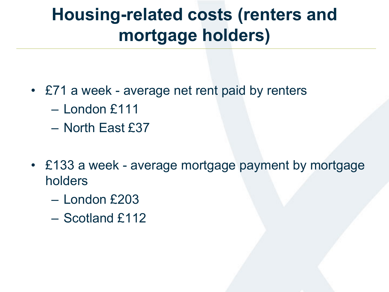### **Housing-related costs (renters and mortgage holders)**

- £71 a week average net rent paid by renters
	- London £111
	- North East £37
- £133 a week average mortgage payment by mortgage holders
	- London £203
	- Scotland £112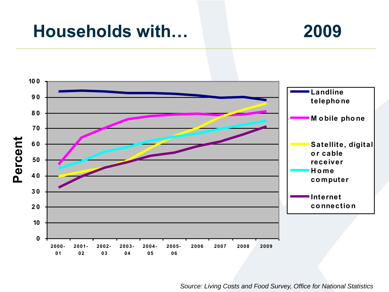#### **Households with… 2009**



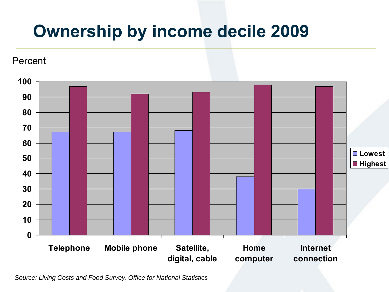### **Ownership by income decile 2009**



*Source: Living Costs and Food Survey, Office for National Statistics*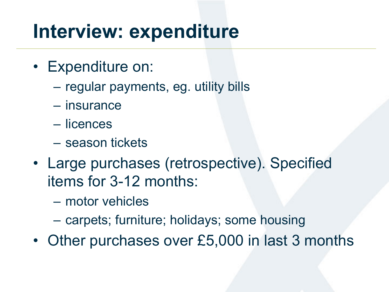### **Interview: expenditure**

- Expenditure on:
	- regular payments, eg. utility bills
	- insurance
	- licences
	- season tickets
- Large purchases (retrospective). Specified items for 3-12 months:
	- motor vehicles
	- carpets; furniture; holidays; some housing
- Other purchases over £5,000 in last 3 months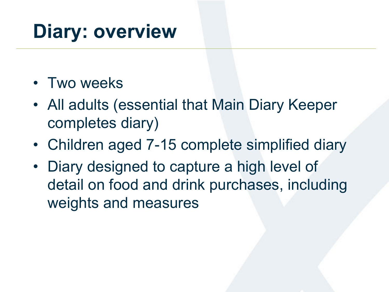# **Diary: overview**

- Two weeks
- All adults (essential that Main Diary Keeper completes diary)
- Children aged 7-15 complete simplified diary
- Diary designed to capture a high level of detail on food and drink purchases, including weights and measures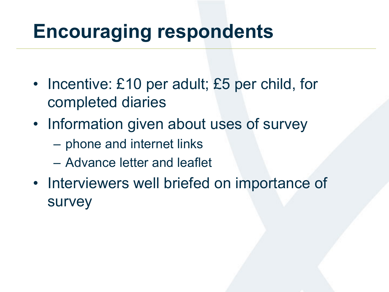### **Encouraging respondents**

- Incentive: £10 per adult; £5 per child, for completed diaries
- Information given about uses of survey
	- phone and internet links
	- Advance letter and leaflet
- Interviewers well briefed on importance of survey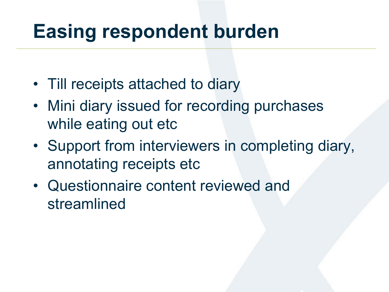### **Easing respondent burden**

- Till receipts attached to diary
- Mini diary issued for recording purchases while eating out etc
- Support from interviewers in completing diary, annotating receipts etc
- Questionnaire content reviewed and streamlined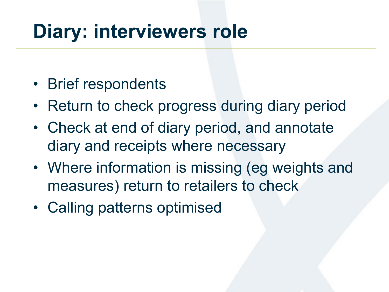## **Diary: interviewers role**

- Brief respondents
- Return to check progress during diary period
- Check at end of diary period, and annotate diary and receipts where necessary
- Where information is missing (eg weights and measures) return to retailers to check
- Calling patterns optimised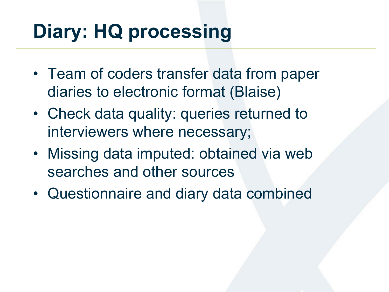# **Diary: HQ processing**

- Team of coders transfer data from paper diaries to electronic format (Blaise)
- Check data quality: queries returned to interviewers where necessary;
- Missing data imputed: obtained via web searches and other sources
- Questionnaire and diary data combined